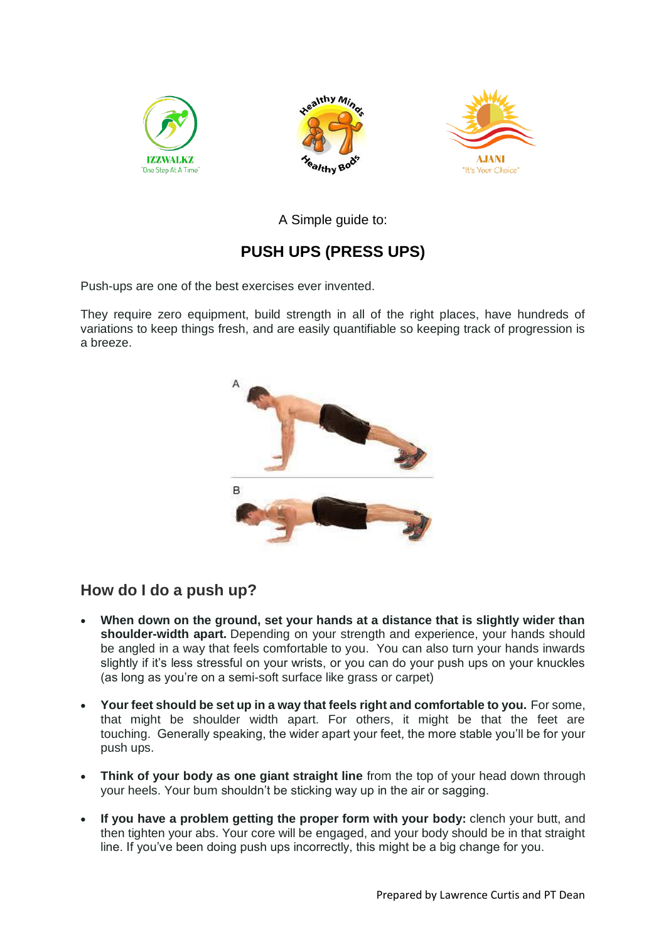





A Simple guide to:

# **PUSH UPS (PRESS UPS)**

Push-ups are one of the best exercises ever invented.

They require zero equipment, build strength in all of the right places, have hundreds of variations to keep things fresh, and are easily quantifiable so keeping track of progression is a breeze.



# **How do I do a push up?**

- **When down on the ground, set your hands at a distance that is slightly wider than shoulder-width apart.** Depending on your strength and experience, your hands should be angled in a way that feels comfortable to you. You can also turn your hands inwards slightly if it's less stressful on your wrists, or you can do your push ups on your knuckles (as long as you're on a semi-soft surface like grass or carpet)
- **Your feet should be set up in a way that feels right and comfortable to you.** For some, that might be shoulder width apart. For others, it might be that the feet are touching. Generally speaking, the wider apart your feet, the more stable you'll be for your push ups.
- **Think of your body as one giant straight line** from the top of your head down through your heels. Your bum shouldn't be sticking way up in the air or sagging.
- **If you have a problem getting the proper form with your body:** clench your butt, and then tighten your abs. Your core will be engaged, and your body should be in that straight line. If you've been doing push ups incorrectly, this might be a big change for you.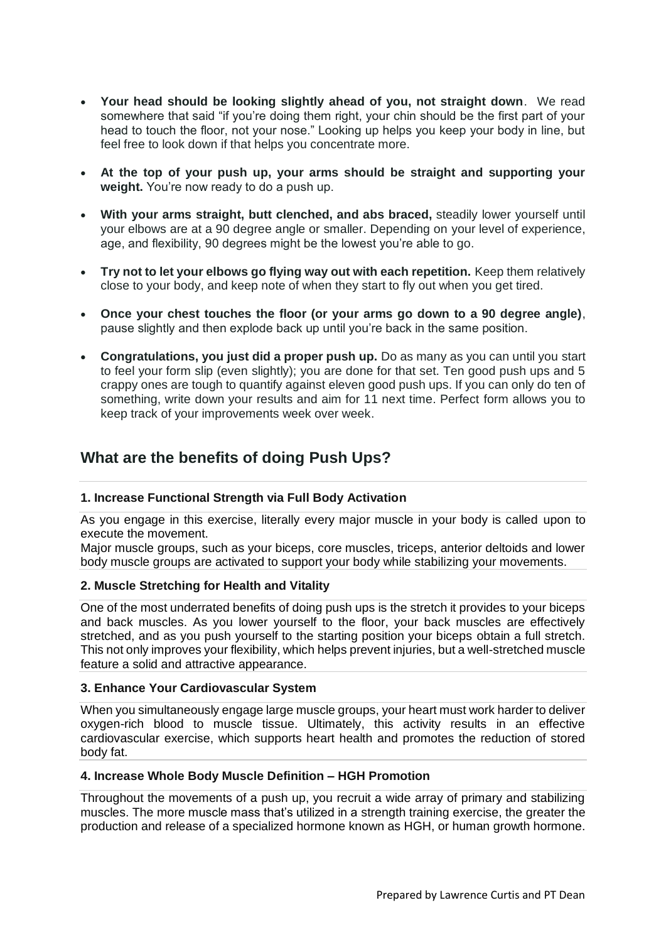- **Your head should be looking slightly ahead of you, not straight down**. We read somewhere that said "if you're doing them right, your chin should be the first part of your head to touch the floor, not your nose." Looking up helps you keep your body in line, but feel free to look down if that helps you concentrate more.
- **At the top of your push up, your arms should be straight and supporting your weight.** You're now ready to do a push up.
- **With your arms straight, butt clenched, and abs braced,** steadily lower yourself until your elbows are at a 90 degree angle or smaller. Depending on your level of experience, age, and flexibility, 90 degrees might be the lowest you're able to go.
- **Try not to let your elbows go flying way out with each repetition.** Keep them relatively close to your body, and keep note of when they start to fly out when you get tired.
- **Once your chest touches the floor (or your arms go down to a 90 degree angle)**, pause slightly and then explode back up until you're back in the same position.
- **Congratulations, you just did a proper push up.** Do as many as you can until you start to feel your form slip (even slightly); you are done for that set. Ten good push ups and 5 crappy ones are tough to quantify against eleven good push ups. If you can only do ten of something, write down your results and aim for 11 next time. Perfect form allows you to keep track of your improvements week over week.

# **What are the benefits of doing Push Ups?**

# **1. Increase Functional Strength via Full Body Activation**

As you engage in this exercise, literally every major muscle in your body is called upon to execute the movement.

Major muscle groups, such as your biceps, core muscles, triceps, anterior deltoids and lower body muscle groups are activated to support your body while stabilizing your movements.

# **2. Muscle Stretching for Health and Vitality**

One of the most underrated benefits of doing push ups is the stretch it provides to your biceps and back muscles. As you lower yourself to the floor, your back muscles are effectively stretched, and as you push yourself to the starting position your biceps obtain a full stretch. This not only improves your flexibility, which helps prevent injuries, but a well-stretched muscle feature a solid and attractive appearance.

### **3. Enhance Your Cardiovascular System**

When you simultaneously engage large muscle groups, your heart must work harder to deliver oxygen-rich blood to muscle tissue. Ultimately, this activity results in an effective cardiovascular exercise, which supports heart health and promotes the reduction of stored body fat.

### **4. Increase Whole Body Muscle Definition – HGH Promotion**

Throughout the movements of a push up, you recruit a wide array of primary and stabilizing muscles. The more muscle mass that's utilized in a strength training exercise, the greater the production and release of a specialized hormone known as HGH, or human growth hormone.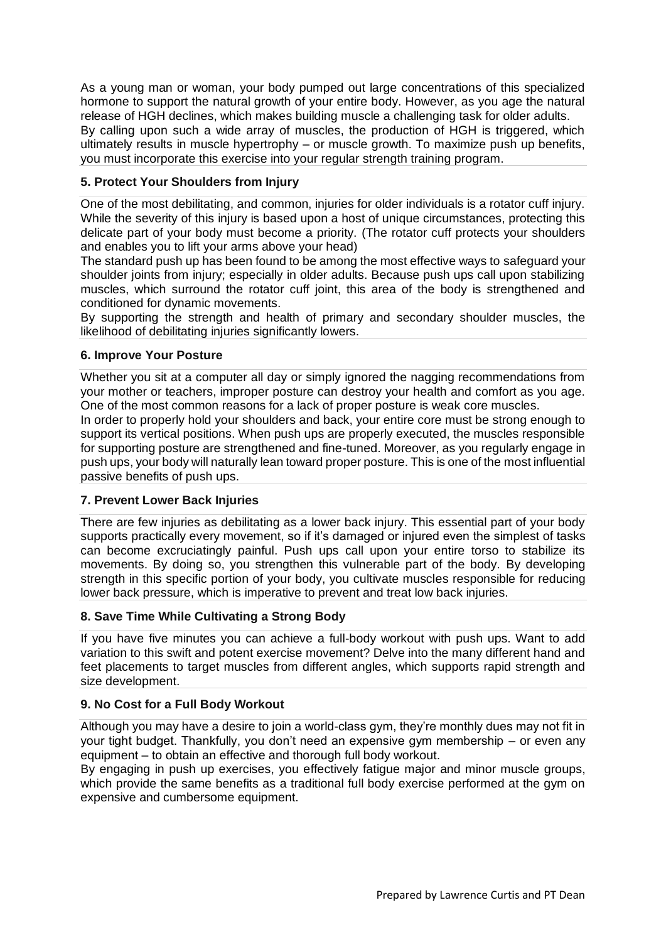As a young man or woman, your body pumped out large concentrations of this specialized hormone to support the natural growth of your entire body. However, as you age the natural release of HGH declines, which makes building muscle a challenging task for older adults. By calling upon such a wide array of muscles, the production of HGH is triggered, which ultimately results in muscle hypertrophy – or muscle growth. To maximize push up benefits, you must incorporate this exercise into your regular strength training program.

# **5. Protect Your Shoulders from Injury**

One of the most debilitating, and common, injuries for older individuals is a rotator cuff injury. While the severity of this injury is based upon a host of unique circumstances, protecting this delicate part of your body must become a priority. (The rotator cuff protects your shoulders and enables you to lift your arms above your head)

The standard push up has been found to be among the most effective ways to safeguard your shoulder joints from injury; especially in older adults. Because push ups call upon stabilizing muscles, which surround the rotator cuff joint, this area of the body is strengthened and conditioned for dynamic movements.

By supporting the strength and health of primary and secondary shoulder muscles, the likelihood of debilitating injuries significantly lowers.

# **6. Improve Your Posture**

Whether you sit at a computer all day or simply ignored the nagging recommendations from your mother or teachers, improper posture can destroy your health and comfort as you age. One of the most common reasons for a lack of proper posture is weak core muscles.

In order to properly hold your shoulders and back, your entire core must be strong enough to support its vertical positions. When push ups are properly executed, the muscles responsible for supporting posture are strengthened and fine-tuned. Moreover, as you regularly engage in push ups, your body will naturally lean toward proper posture. This is one of the most influential passive benefits of push ups.

# **7. Prevent Lower Back Injuries**

There are few injuries as debilitating as a lower back injury. This essential part of your body supports practically every movement, so if it's damaged or injured even the simplest of tasks can become excruciatingly painful. Push ups call upon your entire torso to stabilize its movements. By doing so, you strengthen this vulnerable part of the body. By developing strength in this specific portion of your body, you cultivate muscles responsible for reducing lower back pressure, which is imperative to prevent and treat low back injuries.

# **8. Save Time While Cultivating a Strong Body**

If you have five minutes you can achieve a full-body workout with push ups. Want to add variation to this swift and potent exercise movement? Delve into the many different hand and feet placements to target muscles from different angles, which supports rapid strength and size development.

# **9. No Cost for a Full Body Workout**

Although you may have a desire to join a world-class gym, they're monthly dues may not fit in your tight budget. Thankfully, you don't need an expensive gym membership – or even any equipment – to obtain an effective and thorough full body workout.

By engaging in push up exercises, you effectively fatigue major and minor muscle groups, which provide the same benefits as a traditional full body exercise performed at the gym on expensive and cumbersome equipment.